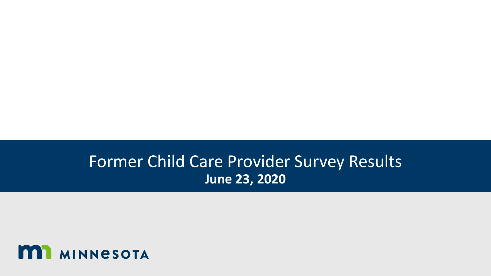#### Former Child Care Provider Survey Results **June 23, 2020**

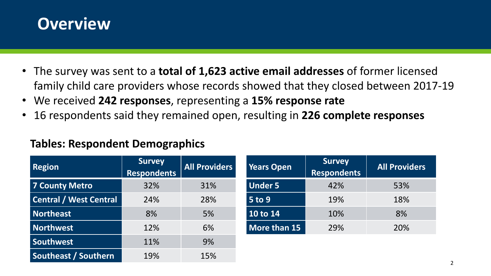

- The survey was sent to a **total of 1,623 active email addresses** of former licensed family child care providers whose records showed that they closed between 2017-19
- We received **242 responses**, representing a **15% response rate**
- 16 respondents said they remained open, resulting in **226 complete responses**

#### **Tables: Respondent Demographics**

| <b>Region</b>                 | <b>Survey</b><br><b>Respondents</b> | <b>All Providers</b> | <b>Years Open</b> |
|-------------------------------|-------------------------------------|----------------------|-------------------|
| <b>7 County Metro</b>         | 32%                                 | 31%                  | <b>Under 5</b>    |
| <b>Central / West Central</b> | 24%                                 | 28%                  | <b>5 to 9</b>     |
| <b>Northeast</b>              | 8%                                  | 5%                   | 10 to 14          |
| <b>Northwest</b>              | 12%                                 | 6%                   | More than 15      |
| <b>Southwest</b>              | 11%                                 | 9%                   |                   |
| Southeast / Southern          | 19%                                 | 15%                  |                   |

| <b>Years Open</b> | <b>Survey</b><br><b>Respondents</b> | <b>All Providers</b> |
|-------------------|-------------------------------------|----------------------|
| <b>Under 5</b>    | 42%                                 | 53%                  |
| <b>5 to 9</b>     | 19%                                 | 18%                  |
| 10 to 14          | 10%                                 | 8%                   |
| More than 15      | 29%                                 | 20%                  |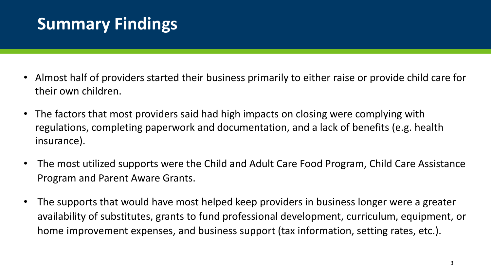### **Summary Findings**

- Almost half of providers started their business primarily to either raise or provide child care for their own children.
- The factors that most providers said had high impacts on closing were complying with regulations, completing paperwork and documentation, and a lack of benefits (e.g. health insurance).
- The most utilized supports were the Child and Adult Care Food Program, Child Care Assistance Program and Parent Aware Grants.
- The supports that would have most helped keep providers in business longer were a greater availability of substitutes, grants to fund professional development, curriculum, equipment, or home improvement expenses, and business support (tax information, setting rates, etc.).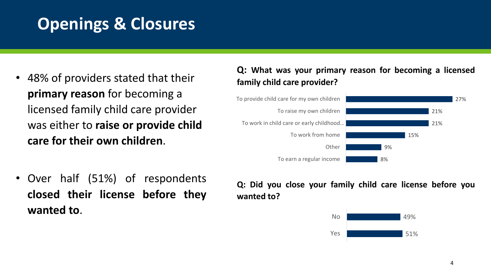### **Openings & Closures**

- 48% of providers stated that their **primary reason** for becoming a licensed family child care provider was either to **raise or provide child care for their own children**.
- Over half (51%) of respondents **closed their license before they wanted to**.

#### **Q: What was your primary reason for becoming a licensed family child care provider?**



**Q: Did you close your family child care license before you wanted to?**

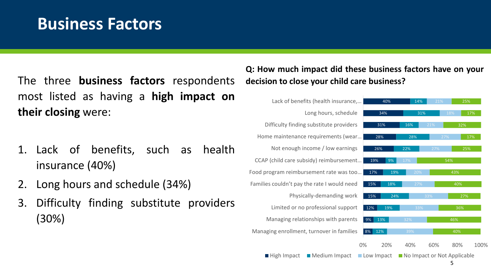#### **Business Factors**

The three **business factors** respondents most listed as having a **high impact on their closing** were:

- 1. Lack of benefits, such as health insurance (40%)
- 2. Long hours and schedule (34%)
- 3. Difficulty finding substitute providers (30%)

#### **Q: How much impact did these business factors have on your decision to close your child care business?**

24%

22%

28%

31%

14%

16%



 $\blacksquare$  High Impact Medium Impact Low Impact Medium Impact

No Impact or Not Applicable 5

40%

46%

36%

40%

43%

54%

27%

25%

32%

17%

17%

25%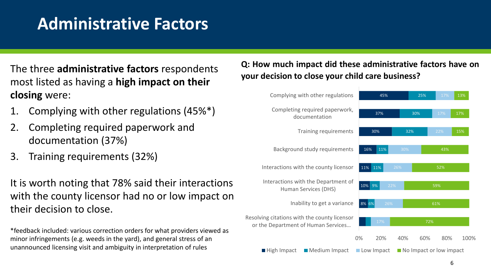#### **Administrative Factors**

The three **administrative factors** respondents most listed as having a **high impact on their closing** were:

- 1. Complying with other regulations (45%\*)
- 2. Completing required paperwork and documentation (37%)
- 3. Training requirements (32%)

It is worth noting that 78% said their interactions with the county licensor had no or low impact on their decision to close.

\*feedback included: various correction orders for what providers viewed as minor infringements (e.g. weeds in the yard), and general stress of an unannounced licensing visit and ambiguity in interpretation of rules

**Q: How much impact did these administrative factors have on your decision to close your child care business?**

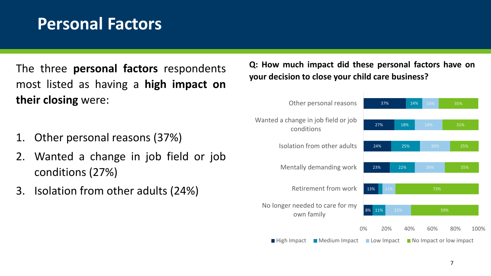#### **Personal Factors**

The three **personal factors** respondents most listed as having a **high impact on their closing** were:

- 1. Other personal reasons (37%)
- 2. Wanted a change in job field or job conditions (27%)
- 3. Isolation from other adults (24%)

**Q: How much impact did these personal factors have on your decision to close your child care business?**

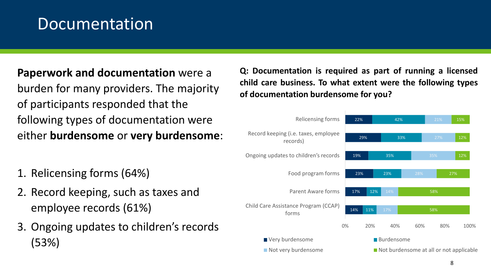#### Documentation

#### **Paperwork and documentation** were a burden for many providers. The majority of participants responded that the following types of documentation were either **burdensome** or **very burdensome**:

- 1. Relicensing forms (64%)
- 2. Record keeping, such as taxes and employee records (61%)
- 3. Ongoing updates to children's records (53%)

**Q: Documentation is required as part of running a licensed child care business. To what extent were the following types of documentation burdensome for you?**

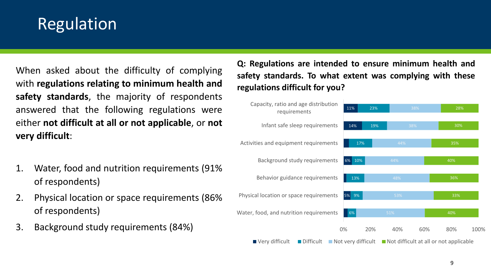### Regulation

When asked about the difficulty of complying with **regulations relating to minimum health and safety standards**, the majority of respondents answered that the following regulations were either **not difficult at all or not applicable**, or **not very difficult**:

- 1. Water, food and nutrition requirements (91% of respondents)
- 2. Physical location or space requirements (86% of respondents)
- 3. Background study requirements (84%)

**Q: Regulations are intended to ensure minimum health and safety standards. To what extent was complying with these regulations difficult for you?**

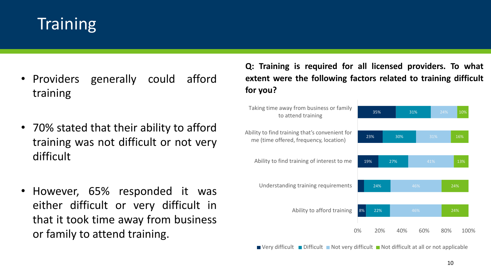# **Training**

- Providers generally could afford training
- 70% stated that their ability to afford training was not difficult or not very difficult
- However, 65% responded it was either difficult or very difficult in that it took time away from business or family to attend training.

**Q: Training is required for all licensed providers. To what extent were the following factors related to training difficult for you?**



 $\blacksquare$  Very difficult  $\blacksquare$  Difficult  $\blacksquare$  Not very difficult  $\blacksquare$  Not difficult at all or not applicable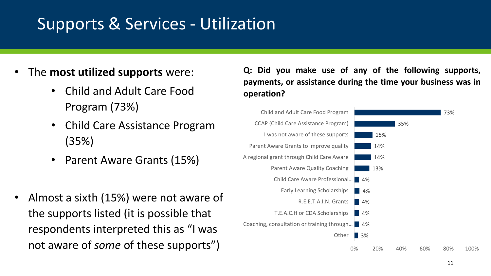### Supports & Services - Utilization

- The **most utilized supports** were:
	- Child and Adult Care Food Program (73%)
	- Child Care Assistance Program (35%)
	- Parent Aware Grants (15%)
- Almost a sixth (15%) were not aware of the supports listed (it is possible that respondents interpreted this as "I was not aware of *some* of these supports")

**Q: Did you make use of any of the following supports, payments, or assistance during the time your business was in operation?**

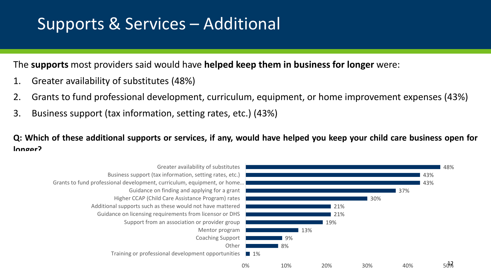### Supports & Services – Additional

The **supports** most providers said would have **helped keep them in business for longer** were:

- 1. Greater availability of substitutes (48%)
- 2. Grants to fund professional development, curriculum, equipment, or home improvement expenses (43%)
- 3. Business support (tax information, setting rates, etc.) (43%)

Q: Which of these additional supports or services, if any, would have helped you keep your child care business open for **longer?**

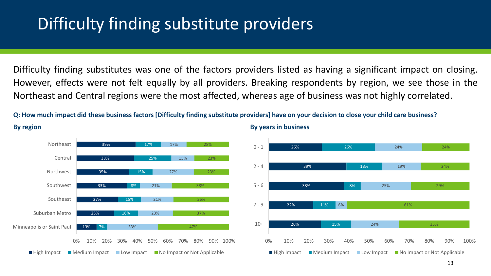### Difficulty finding substitute providers

Difficulty finding substitutes was one of the factors providers listed as having a significant impact on closing. However, effects were not felt equally by all providers. Breaking respondents by region, we see those in the Northeast and Central regions were the most affected, whereas age of business was not highly correlated.

Q: How much impact did these business factors [Difficulty finding substitute providers] have on your decision to close your child care business?



**By region By years in business**

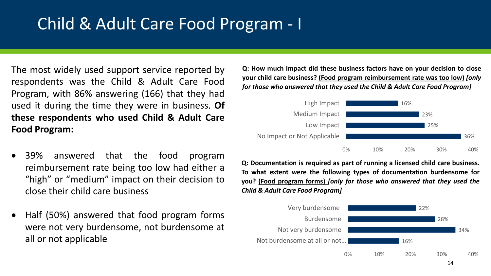### Child & Adult Care Food Program - I

The most widely used support service reported by respondents was the Child & Adult Care Food Program, with 86% answering (166) that they had used it during the time they were in business. **Of these respondents who used Child & Adult Care Food Program:**

- 39% answered that the food program reimbursement rate being too low had either a "high" or "medium" impact on their decision to close their child care business
- Half (50%) answered that food program forms were not very burdensome, not burdensome at all or not applicable

**Q: How much impact did these business factors have on your decision to close your child care business? (Food program reimbursement rate was too low)** *[only for those who answered that they used the Child & Adult Care Food Program]*



**Q: Documentation is required as part of running a licensed child care business. To what extent were the following types of documentation burdensome for you? (Food program forms)** *[only for those who answered that they used the Child & Adult Care Food Program]*

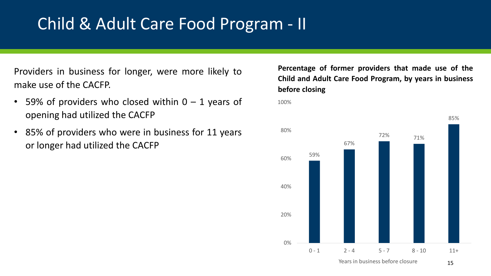#### Child & Adult Care Food Program - II

Providers in business for longer, were more likely to make use of the CACFP.

- 59% of providers who closed within  $0 1$  years of opening had utilized the CACFP
- 85% of providers who were in business for 11 years or longer had utilized the CACFP

**Percentage of former providers that made use of the Child and Adult Care Food Program, by years in business before closing**

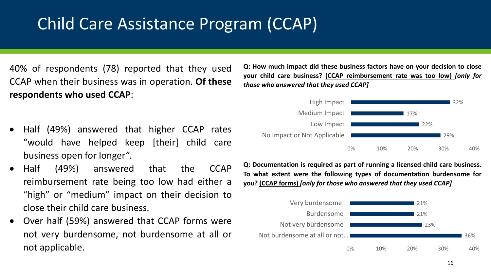### Child Care Assistance Program (CCAP)

40% of respondents (78) reported that they used CCAP when their business was in operation. **Of these respondents who used CCAP**:

- Half (49%) answered that higher CCAP rates "would have helped keep [their] child care business open for longer".
- Half (49%) answered that the CCAP reimbursement rate being too low had either a "high" or "medium" impact on their decision to close their child care business.
- Over half (59%) answered that CCAP forms were not very burdensome, not burdensome at all or not applicable.

**Q: How much impact did these business factors have on your decision to close your child care business? (CCAP reimbursement rate was too low)** *[only for those who answered that they used CCAP]*



**Q: Documentation is required as part of running a licensed child care business. To what extent were the following types of documentation burdensome for you? (CCAP forms)** *[only for those who answered that they used CCAP]*

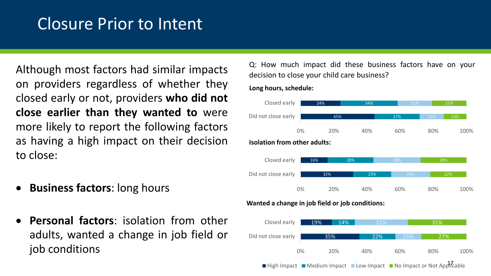#### Closure Prior to Intent

Although most factors had similar impacts on providers regardless of whether they closed early or not, providers **who did not close earlier than they wanted to** were more likely to report the following factors as having a high impact on their decision to close:

- **Business factors**: long hours
- **Personal factors**: isolation from other adults, wanted a change in job field or job conditions

Q: How much impact did these business factors have on your decision to close your child care business?

#### **Long hours, schedule:**



#### **Wanted a change in job field or job conditions:**



 $\blacksquare$  High Impact  $\blacksquare$  Medium Impact  $\blacksquare$  Low Impact  $\blacksquare$  No Impact or Not Applicable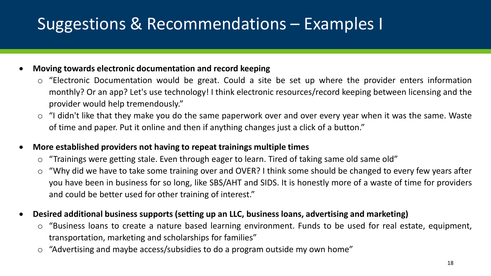# Suggestions & Recommendations – Examples I

#### • **Moving towards electronic documentation and record keeping**

- o "Electronic Documentation would be great. Could a site be set up where the provider enters information monthly? Or an app? Let's use technology! I think electronic resources/record keeping between licensing and the provider would help tremendously."
- o "I didn't like that they make you do the same paperwork over and over every year when it was the same. Waste of time and paper. Put it online and then if anything changes just a click of a button."

#### • **More established providers not having to repeat trainings multiple times**

- $\circ$  "Trainings were getting stale. Even through eager to learn. Tired of taking same old same old"
- o "Why did we have to take some training over and OVER? I think some should be changed to every few years after you have been in business for so long, like SBS/AHT and SIDS. It is honestly more of a waste of time for providers and could be better used for other training of interest."
- **Desired additional business supports (setting up an LLC, business loans, advertising and marketing)**
	- o "Business loans to create a nature based learning environment. Funds to be used for real estate, equipment, transportation, marketing and scholarships for families"
	- o "Advertising and maybe access/subsidies to do a program outside my own home"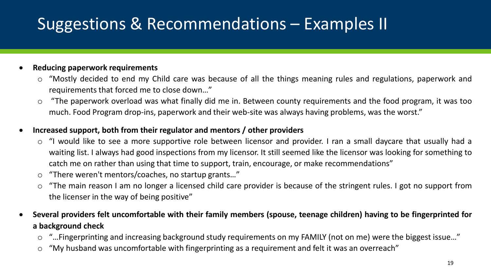# Suggestions & Recommendations – Examples II

#### • **Reducing paperwork requirements**

- o "Mostly decided to end my Child care was because of all the things meaning rules and regulations, paperwork and requirements that forced me to close down…"
- o "The paperwork overload was what finally did me in. Between county requirements and the food program, it was too much. Food Program drop-ins, paperwork and their web-site was always having problems, was the worst."

#### • **Increased support, both from their regulator and mentors / other providers**

- o "I would like to see a more supportive role between licensor and provider. I ran a small daycare that usually had a waiting list. I always had good inspections from my licensor. It still seemed like the licensor was looking for something to catch me on rather than using that time to support, train, encourage, or make recommendations"
- o "There weren't mentors/coaches, no startup grants…"
- o "The main reason I am no longer a licensed child care provider is because of the stringent rules. I got no support from the licenser in the way of being positive"
- Several providers felt uncomfortable with their family members (spouse, teenage children) having to be fingerprinted for **a background check**
	- o "…Fingerprinting and increasing background study requirements on my FAMILY (not on me) were the biggest issue…"
	- o "My husband was uncomfortable with fingerprinting as a requirement and felt it was an overreach"